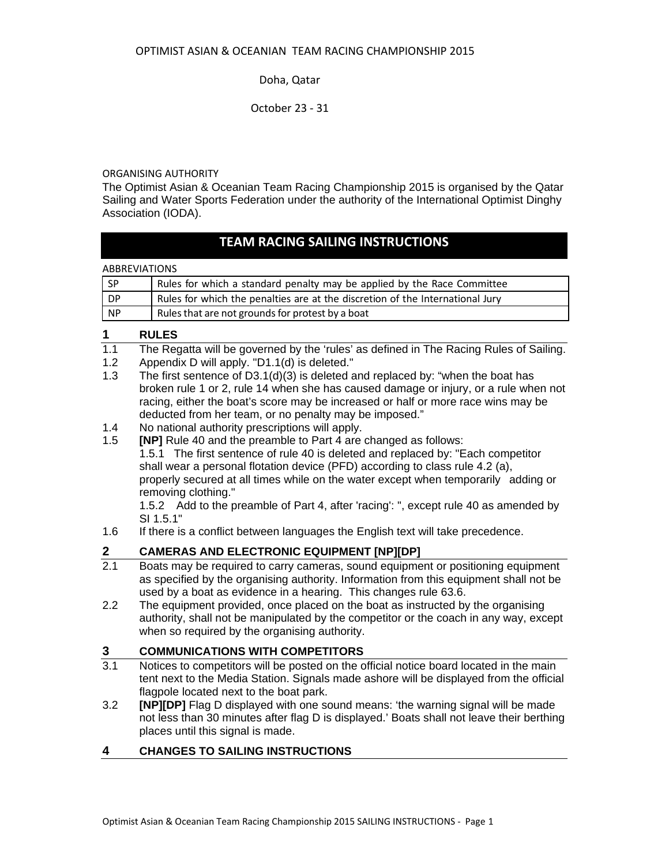October 23 ‐ 31

#### ORGANISING AUTHORITY

The Optimist Asian & Oceanian Team Racing Championship 2015 is organised by the Qatar Sailing and Water Sports Federation under the authority of the International Optimist Dinghy Association (IODA).

# **TEAM RACING SAILING INSTRUCTIONS**

**ABBREVIATIONS** 

| $I$ SP | Rules for which a standard penalty may be applied by the Race Committee       |
|--------|-------------------------------------------------------------------------------|
| DP.    | Rules for which the penalties are at the discretion of the International Jury |
| NP     | Rules that are not grounds for protest by a boat                              |

#### **1 RULES**

- 1.1 The Regatta will be governed by the 'rules' as defined in The Racing Rules of Sailing.
- 1.2 Appendix D will apply. "D1.1(d) is deleted."
- 1.3 The first sentence of D3.1(d)(3) is deleted and replaced by: "when the boat has broken rule 1 or 2, rule 14 when she has caused damage or injury, or a rule when not racing, either the boat's score may be increased or half or more race wins may be deducted from her team, or no penalty may be imposed."
- 1.4 No national authority prescriptions will apply.
- 1.5 **[NP]** Rule 40 and the preamble to Part 4 are changed as follows: 1.5.1 The first sentence of rule 40 is deleted and replaced by: "Each competitor shall wear a personal flotation device (PFD) according to class rule 4.2 (a), properly secured at all times while on the water except when temporarily adding or removing clothing."

 1.5.2 Add to the preamble of Part 4, after 'racing': ", except rule 40 as amended by SI 1.5.1"

1.6 If there is a conflict between languages the English text will take precedence.

#### **2 CAMERAS AND ELECTRONIC EQUIPMENT [NP][DP]**

- 2.1 Boats may be required to carry cameras, sound equipment or positioning equipment as specified by the organising authority. Information from this equipment shall not be used by a boat as evidence in a hearing. This changes rule 63.6.
- 2.2 The equipment provided, once placed on the boat as instructed by the organising authority, shall not be manipulated by the competitor or the coach in any way, except when so required by the organising authority.

## **3 COMMUNICATIONS WITH COMPETITORS**

- 3.1 Notices to competitors will be posted on the official notice board located in the main tent next to the Media Station. Signals made ashore will be displayed from the official flagpole located next to the boat park.
- 3.2 **[NP][DP]** Flag D displayed with one sound means: 'the warning signal will be made not less than 30 minutes after flag D is displayed.' Boats shall not leave their berthing places until this signal is made.

#### **4 CHANGES TO SAILING INSTRUCTIONS**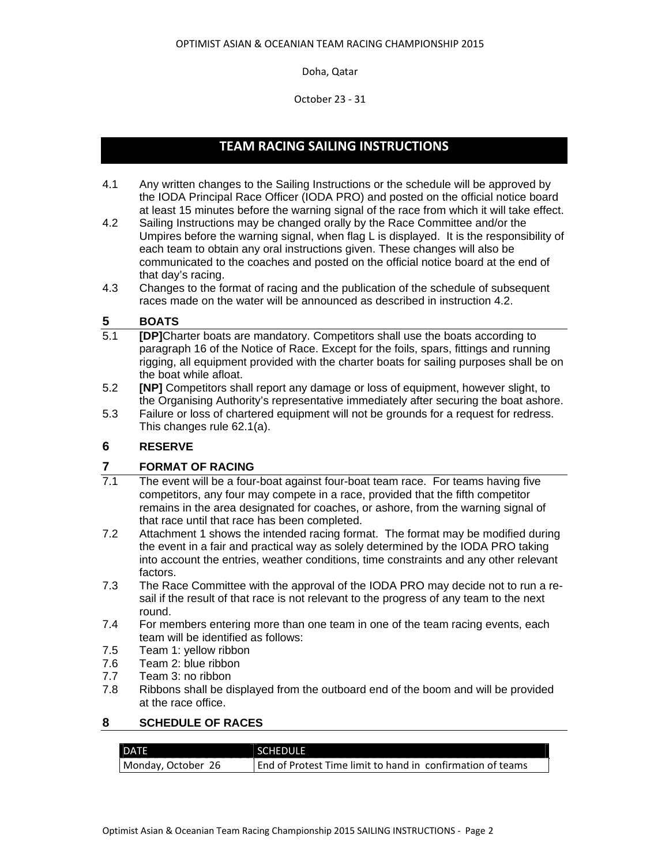October 23 ‐ 31

# **TEAM RACING SAILING INSTRUCTIONS**

- 4.1 Any written changes to the Sailing Instructions or the schedule will be approved by the IODA Principal Race Officer (IODA PRO) and posted on the official notice board at least 15 minutes before the warning signal of the race from which it will take effect.
- 4.2 Sailing Instructions may be changed orally by the Race Committee and/or the Umpires before the warning signal, when flag L is displayed. It is the responsibility of each team to obtain any oral instructions given. These changes will also be communicated to the coaches and posted on the official notice board at the end of that day's racing.
- 4.3 Changes to the format of racing and the publication of the schedule of subsequent races made on the water will be announced as described in instruction 4.2.

## **5 BOATS**

- 5.1 **[DP]**Charter boats are mandatory. Competitors shall use the boats according to paragraph 16 of the Notice of Race. Except for the foils, spars, fittings and running rigging, all equipment provided with the charter boats for sailing purposes shall be on the boat while afloat.
- 5.2 **[NP]** Competitors shall report any damage or loss of equipment, however slight, to the Organising Authority's representative immediately after securing the boat ashore.
- 5.3 Failure or loss of chartered equipment will not be grounds for a request for redress. This changes rule 62.1(a).

## **6 RESERVE**

#### **7 FORMAT OF RACING**

- 7.1 The event will be a four-boat against four-boat team race. For teams having five competitors, any four may compete in a race, provided that the fifth competitor remains in the area designated for coaches, or ashore, from the warning signal of that race until that race has been completed.
- 7.2 Attachment 1 shows the intended racing format. The format may be modified during the event in a fair and practical way as solely determined by the IODA PRO taking into account the entries, weather conditions, time constraints and any other relevant factors.
- 7.3 The Race Committee with the approval of the IODA PRO may decide not to run a resail if the result of that race is not relevant to the progress of any team to the next round.
- 7.4 For members entering more than one team in one of the team racing events, each team will be identified as follows:
- 7.5 Team 1: yellow ribbon
- 7.6 Team 2: blue ribbon
- 7.7 Team 3: no ribbon
- 7.8 Ribbons shall be displayed from the outboard end of the boom and will be provided at the race office.

#### **8 SCHEDULE OF RACES**

| <b>DATE</b>        | <b>SCHEDULE</b>                                            |  |  |  |
|--------------------|------------------------------------------------------------|--|--|--|
| Monday, October 26 | End of Protest Time limit to hand in confirmation of teams |  |  |  |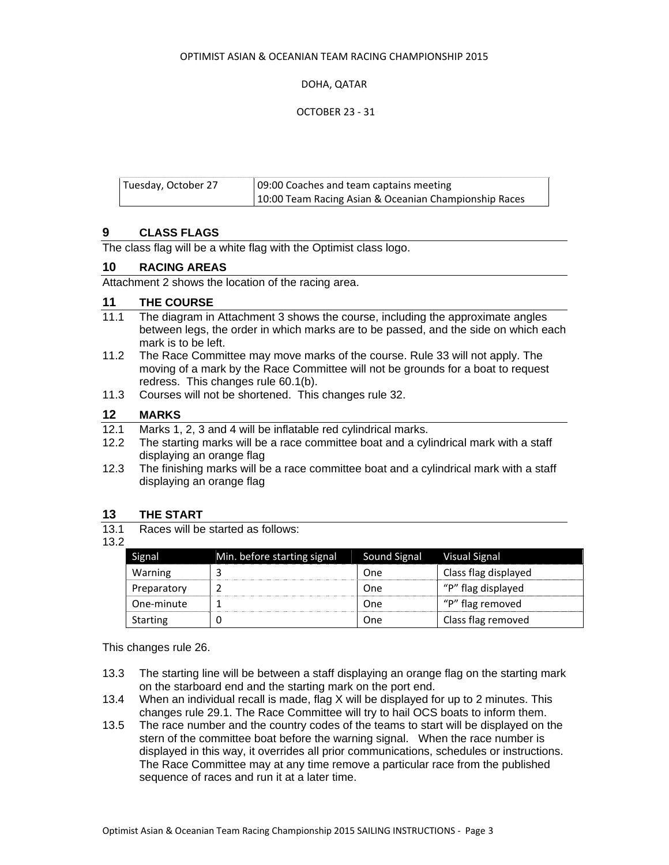#### OPTIMIST ASIAN & OCEANIAN TEAM RACING CHAMPIONSHIP 2015

#### DOHA, QATAR

#### OCTOBER 23 ‐ 31

| Tuesday, October 27 | 09:00 Coaches and team captains meeting               |  |  |  |
|---------------------|-------------------------------------------------------|--|--|--|
|                     | 10:00 Team Racing Asian & Oceanian Championship Races |  |  |  |

#### **9 CLASS FLAGS**

The class flag will be a white flag with the Optimist class logo.

#### **10 RACING AREAS**

Attachment 2 shows the location of the racing area.

#### **11 THE COURSE**

- 11.1 The diagram in Attachment 3 shows the course, including the approximate angles between legs, the order in which marks are to be passed, and the side on which each mark is to be left.
- 11.2 The Race Committee may move marks of the course. Rule 33 will not apply. The moving of a mark by the Race Committee will not be grounds for a boat to request redress. This changes rule 60.1(b).
- 11.3 Courses will not be shortened. This changes rule 32.

#### **12 MARKS**

- 12.1 Marks 1, 2, 3 and 4 will be inflatable red cylindrical marks.
- 12.2 The starting marks will be a race committee boat and a cylindrical mark with a staff displaying an orange flag
- 12.3 The finishing marks will be a race committee boat and a cylindrical mark with a staff displaying an orange flag

#### **13 THE START**

13.1 Races will be started as follows:

#### 13.2

| Signal          | Min. before starting signal | Sound Signal | <b>Visual Signal</b> |
|-----------------|-----------------------------|--------------|----------------------|
| Warning         |                             | One          | Class flag displayed |
| Preparatory     |                             | One          | "P" flag displayed   |
| One-minute      |                             | One          | "P" flag removed     |
| <b>Starting</b> |                             | One          | Class flag removed   |

This changes rule 26.

- 13.3 The starting line will be between a staff displaying an orange flag on the starting mark on the starboard end and the starting mark on the port end.
- 13.4 When an individual recall is made, flag X will be displayed for up to 2 minutes. This changes rule 29.1. The Race Committee will try to hail OCS boats to inform them.
- 13.5 The race number and the country codes of the teams to start will be displayed on the stern of the committee boat before the warning signal. When the race number is displayed in this way, it overrides all prior communications, schedules or instructions. The Race Committee may at any time remove a particular race from the published sequence of races and run it at a later time.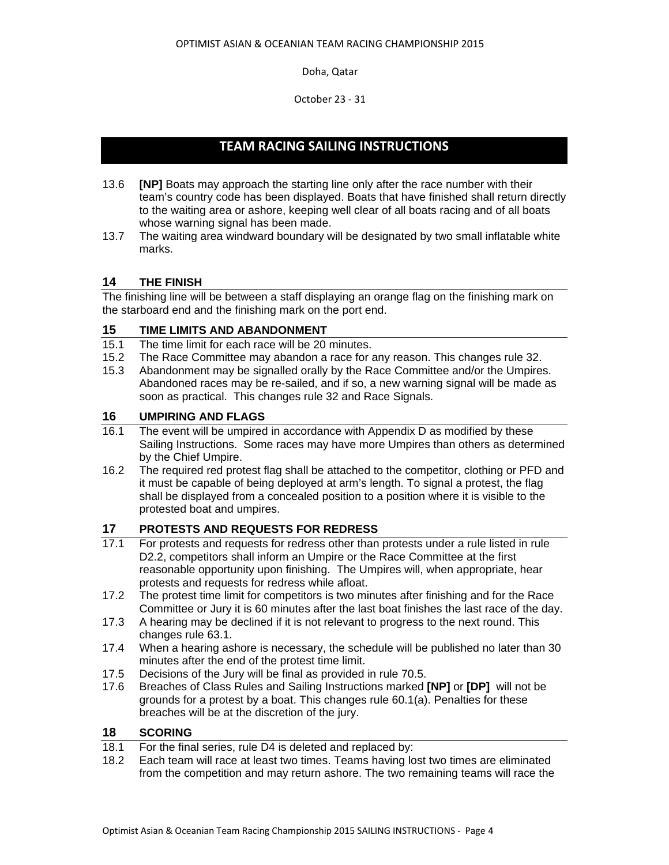October 23 ‐ 31

# **TEAM RACING SAILING INSTRUCTIONS**

- 13.6 **[NP]** Boats may approach the starting line only after the race number with their team's country code has been displayed. Boats that have finished shall return directly to the waiting area or ashore, keeping well clear of all boats racing and of all boats whose warning signal has been made.
- 13.7 The waiting area windward boundary will be designated by two small inflatable white marks.

## **14 THE FINISH**

The finishing line will be between a staff displaying an orange flag on the finishing mark on the starboard end and the finishing mark on the port end.

## **15 TIME LIMITS AND ABANDONMENT**

- 15.1 The time limit for each race will be 20 minutes.
- 15.2 The Race Committee may abandon a race for any reason. This changes rule 32.
- 15.3 Abandonment may be signalled orally by the Race Committee and/or the Umpires. Abandoned races may be re-sailed, and if so, a new warning signal will be made as soon as practical. This changes rule 32 and Race Signals.

#### **16 UMPIRING AND FLAGS**

- 16.1 The event will be umpired in accordance with Appendix D as modified by these Sailing Instructions. Some races may have more Umpires than others as determined by the Chief Umpire.
- 16.2 The required red protest flag shall be attached to the competitor, clothing or PFD and it must be capable of being deployed at arm's length. To signal a protest, the flag shall be displayed from a concealed position to a position where it is visible to the protested boat and umpires.

## **17 PROTESTS AND REQUESTS FOR REDRESS**

- 17.1 For protests and requests for redress other than protests under a rule listed in rule D2.2, competitors shall inform an Umpire or the Race Committee at the first reasonable opportunity upon finishing. The Umpires will, when appropriate, hear protests and requests for redress while afloat.
- 17.2 The protest time limit for competitors is two minutes after finishing and for the Race Committee or Jury it is 60 minutes after the last boat finishes the last race of the day.
- 17.3 A hearing may be declined if it is not relevant to progress to the next round. This changes rule 63.1.
- 17.4 When a hearing ashore is necessary, the schedule will be published no later than 30 minutes after the end of the protest time limit.
- 17.5 Decisions of the Jury will be final as provided in rule 70.5.
- 17.6 Breaches of Class Rules and Sailing Instructions marked **[NP]** or **[DP]** will not be grounds for a protest by a boat. This changes rule 60.1(a). Penalties for these breaches will be at the discretion of the jury.

#### **18 SCORING**

- 18.1 For the final series, rule D4 is deleted and replaced by:
- 18.2 Each team will race at least two times. Teams having lost two times are eliminated from the competition and may return ashore. The two remaining teams will race the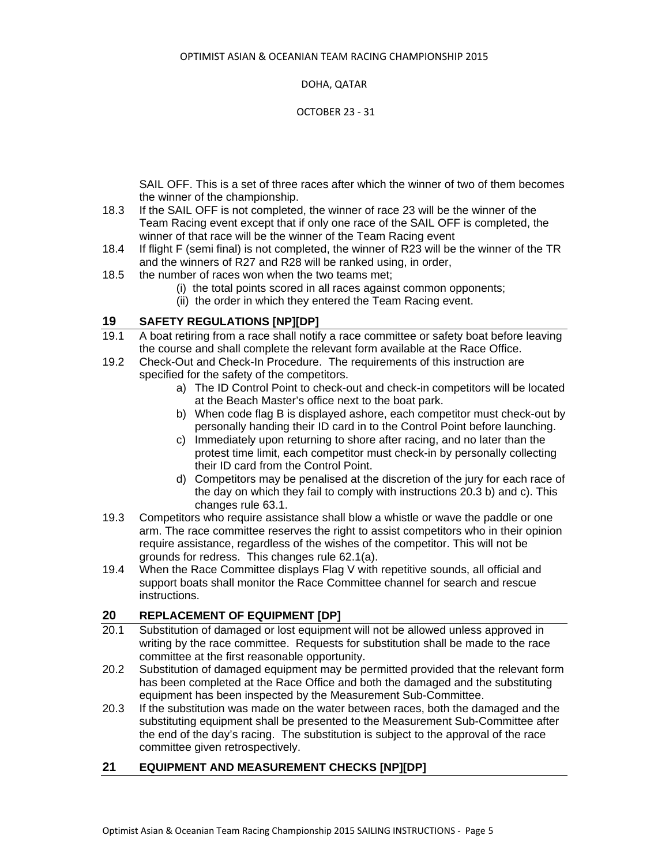DOHA, QATAR

OCTOBER 23 ‐ 31

SAIL OFF. This is a set of three races after which the winner of two of them becomes the winner of the championship.

- 18.3 If the SAIL OFF is not completed, the winner of race 23 will be the winner of the Team Racing event except that if only one race of the SAIL OFF is completed, the winner of that race will be the winner of the Team Racing event
- 18.4 If flight F (semi final) is not completed, the winner of R23 will be the winner of the TR and the winners of R27 and R28 will be ranked using, in order,
- 18.5 the number of races won when the two teams met;
	- (i) the total points scored in all races against common opponents;
	- (ii) the order in which they entered the Team Racing event.

## **19 SAFETY REGULATIONS [NP][DP]**

- 19.1 A boat retiring from a race shall notify a race committee or safety boat before leaving the course and shall complete the relevant form available at the Race Office.
- 19.2 Check-Out and Check-In Procedure. The requirements of this instruction are specified for the safety of the competitors.
	- a) The ID Control Point to check-out and check-in competitors will be located at the Beach Master's office next to the boat park.
	- b) When code flag B is displayed ashore, each competitor must check-out by personally handing their ID card in to the Control Point before launching.
	- c) Immediately upon returning to shore after racing, and no later than the protest time limit, each competitor must check-in by personally collecting their ID card from the Control Point.
	- d) Competitors may be penalised at the discretion of the jury for each race of the day on which they fail to comply with instructions 20.3 b) and c). This changes rule 63.1.
- 19.3 Competitors who require assistance shall blow a whistle or wave the paddle or one arm. The race committee reserves the right to assist competitors who in their opinion require assistance, regardless of the wishes of the competitor. This will not be grounds for redress. This changes rule 62.1(a).
- 19.4 When the Race Committee displays Flag V with repetitive sounds, all official and support boats shall monitor the Race Committee channel for search and rescue instructions.

## **20 REPLACEMENT OF EQUIPMENT [DP]**

- 20.1 Substitution of damaged or lost equipment will not be allowed unless approved in writing by the race committee. Requests for substitution shall be made to the race committee at the first reasonable opportunity.
- 20.2 Substitution of damaged equipment may be permitted provided that the relevant form has been completed at the Race Office and both the damaged and the substituting equipment has been inspected by the Measurement Sub-Committee.
- 20.3 If the substitution was made on the water between races, both the damaged and the substituting equipment shall be presented to the Measurement Sub-Committee after the end of the day's racing. The substitution is subject to the approval of the race committee given retrospectively.

#### **21 EQUIPMENT AND MEASUREMENT CHECKS [NP][DP]**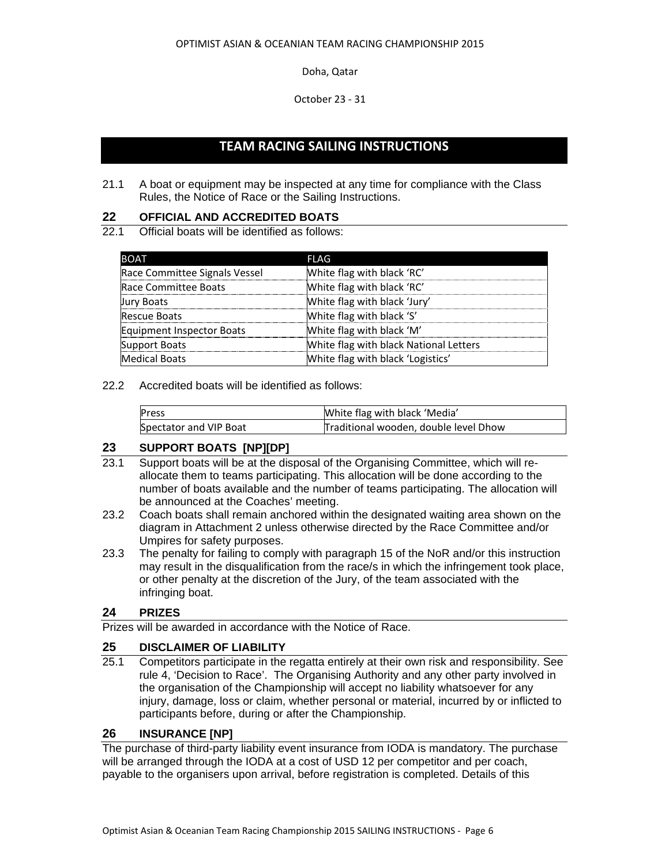October 23 ‐ 31

## **TEAM RACING SAILING INSTRUCTIONS**

21.1 A boat or equipment may be inspected at any time for compliance with the Class Rules, the Notice of Race or the Sailing Instructions.

#### **22 OFFICIAL AND ACCREDITED BOATS**

22.1 Official boats will be identified as follows:

| <b>BOAT</b>                   | FLAG                                   |
|-------------------------------|----------------------------------------|
| Race Committee Signals Vessel | White flag with black 'RC'             |
| Race Committee Boats          | White flag with black 'RC'             |
| <b>Jury Boats</b>             | White flag with black 'Jury'           |
| <b>Rescue Boats</b>           | White flag with black 'S'              |
| Equipment Inspector Boats     | White flag with black 'M'              |
| <b>Support Boats</b>          | White flag with black National Letters |
| <b>Medical Boats</b>          | White flag with black 'Logistics'      |

#### 22.2 Accredited boats will be identified as follows:

| Press                  | White flag with black 'Media'         |
|------------------------|---------------------------------------|
| Spectator and VIP Boat | Traditional wooden, double level Dhow |

#### **23 SUPPORT BOATS [NP][DP]**

- 23.1 Support boats will be at the disposal of the Organising Committee, which will reallocate them to teams participating. This allocation will be done according to the number of boats available and the number of teams participating. The allocation will be announced at the Coaches' meeting.
- 23.2 Coach boats shall remain anchored within the designated waiting area shown on the diagram in Attachment 2 unless otherwise directed by the Race Committee and/or Umpires for safety purposes.
- 23.3 The penalty for failing to comply with paragraph 15 of the NoR and/or this instruction may result in the disqualification from the race/s in which the infringement took place, or other penalty at the discretion of the Jury, of the team associated with the infringing boat.

## **24 PRIZES**

Prizes will be awarded in accordance with the Notice of Race.

#### **25 DISCLAIMER OF LIABILITY**

25.1 Competitors participate in the regatta entirely at their own risk and responsibility. See rule 4, 'Decision to Race'. The Organising Authority and any other party involved in the organisation of the Championship will accept no liability whatsoever for any injury, damage, loss or claim, whether personal or material, incurred by or inflicted to participants before, during or after the Championship.

#### **26 INSURANCE [NP]**

The purchase of third-party liability event insurance from IODA is mandatory. The purchase will be arranged through the IODA at a cost of USD 12 per competitor and per coach, payable to the organisers upon arrival, before registration is completed. Details of this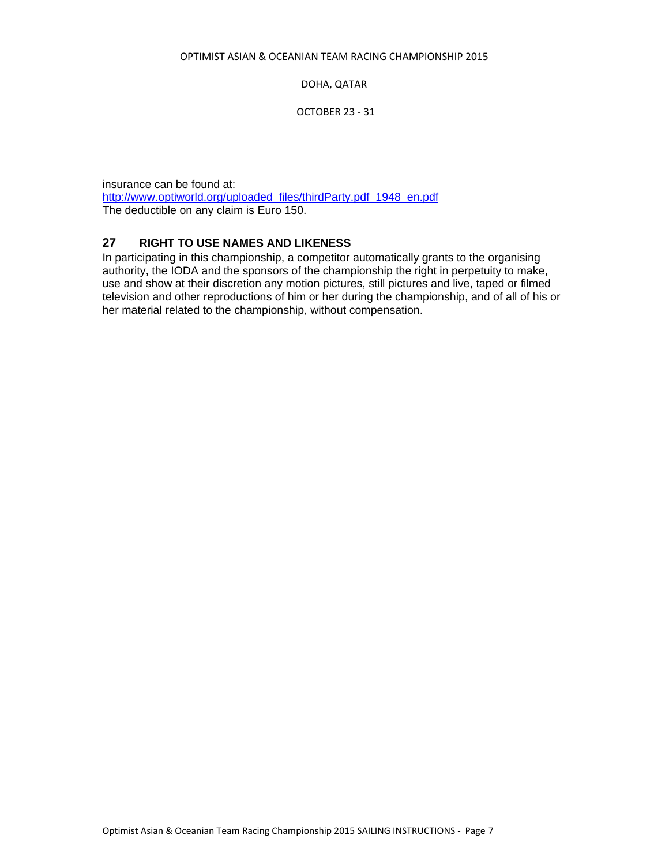DOHA, QATAR

OCTOBER 23 ‐ 31

insurance can be found at: http://www.optiworld.org/uploaded\_files/thirdParty.pdf\_1948\_en.pdf The deductible on any claim is Euro 150.

## **27 RIGHT TO USE NAMES AND LIKENESS**

In participating in this championship, a competitor automatically grants to the organising authority, the IODA and the sponsors of the championship the right in perpetuity to make, use and show at their discretion any motion pictures, still pictures and live, taped or filmed television and other reproductions of him or her during the championship, and of all of his or her material related to the championship, without compensation.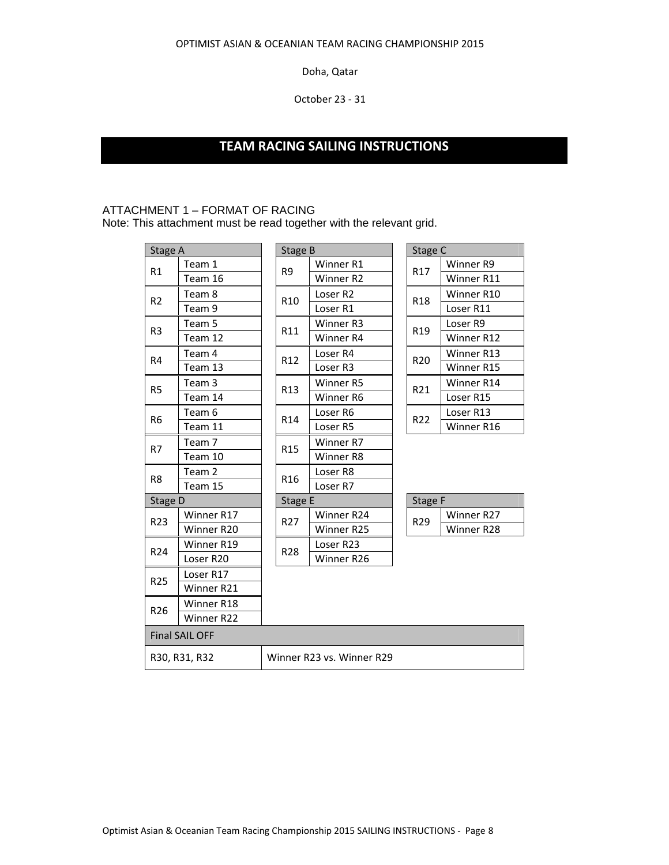October 23 ‐ 31

# **TEAM RACING SAILING INSTRUCTIONS**

#### ATTACHMENT 1 – FORMAT OF RACING

Note: This attachment must be read together with the relevant grid.

| Stage A               |            | Stage B         |                      |                           | Stage C         |                     |            |
|-----------------------|------------|-----------------|----------------------|---------------------------|-----------------|---------------------|------------|
| R1                    | Team 1     | R <sub>9</sub>  | Winner <sub>R1</sub> |                           |                 | Winner R9           |            |
|                       | Team 16    |                 |                      | Winner <sub>R2</sub>      |                 | R17                 | Winner R11 |
| R <sub>2</sub>        | Team 8     |                 | R <sub>10</sub>      | Loser <sub>R2</sub>       |                 | R <sub>18</sub>     | Winner R10 |
|                       | Team 9     |                 |                      | Loser <sub>R1</sub>       |                 |                     | Loser R11  |
| R <sub>3</sub>        | Team 5     | R11             | Winner <sub>R3</sub> |                           | R <sub>19</sub> | Loser <sub>R9</sub> |            |
|                       | Team 12    |                 |                      | Winner <sub>R4</sub>      |                 |                     | Winner R12 |
| R <sub>4</sub>        | Team 4     |                 | R12                  | Loser <sub>R4</sub>       |                 | R <sub>20</sub>     | Winner R13 |
|                       | Team 13    |                 |                      | Loser <sub>R3</sub>       |                 |                     | Winner R15 |
| R <sub>5</sub>        | Team 3     |                 | R13                  | Winner <sub>R5</sub>      |                 | R21                 | Winner R14 |
|                       | Team 14    |                 |                      | Winner R6                 |                 |                     | Loser R15  |
| R <sub>6</sub>        | Team 6     |                 | R14                  | Loser <sub>R6</sub>       |                 | R22                 | Loser R13  |
|                       | Team 11    |                 |                      | Loser <sub>R5</sub>       |                 |                     | Winner R16 |
| R7                    | Team 7     |                 | R <sub>15</sub>      | Winner R7                 |                 |                     |            |
|                       | Team 10    |                 |                      | Winner R8                 |                 |                     |            |
| R <sub>8</sub>        | Team 2     | R <sub>16</sub> | Loser <sub>R8</sub>  |                           |                 |                     |            |
|                       | Team 15    |                 | Loser <sub>R7</sub>  |                           |                 |                     |            |
| Stage D               |            | Stage E         |                      | Stage F                   |                 |                     |            |
| R23                   | Winner R17 |                 | R <sub>27</sub>      | Winner R24                |                 | R29                 | Winner R27 |
|                       | Winner R20 |                 |                      | Winner R25                |                 |                     | Winner R28 |
| R24                   | Winner R19 | R28             | Loser R23            |                           |                 |                     |            |
|                       | Loser R20  |                 |                      | Winner R26                |                 |                     |            |
| <b>R25</b>            | Loser R17  |                 |                      |                           |                 |                     |            |
|                       | Winner R21 |                 |                      |                           |                 |                     |            |
| R <sub>26</sub>       | Winner R18 |                 |                      |                           |                 |                     |            |
|                       | Winner R22 |                 |                      |                           |                 |                     |            |
| <b>Final SAIL OFF</b> |            |                 |                      |                           |                 |                     |            |
| R30, R31, R32         |            |                 |                      | Winner R23 vs. Winner R29 |                 |                     |            |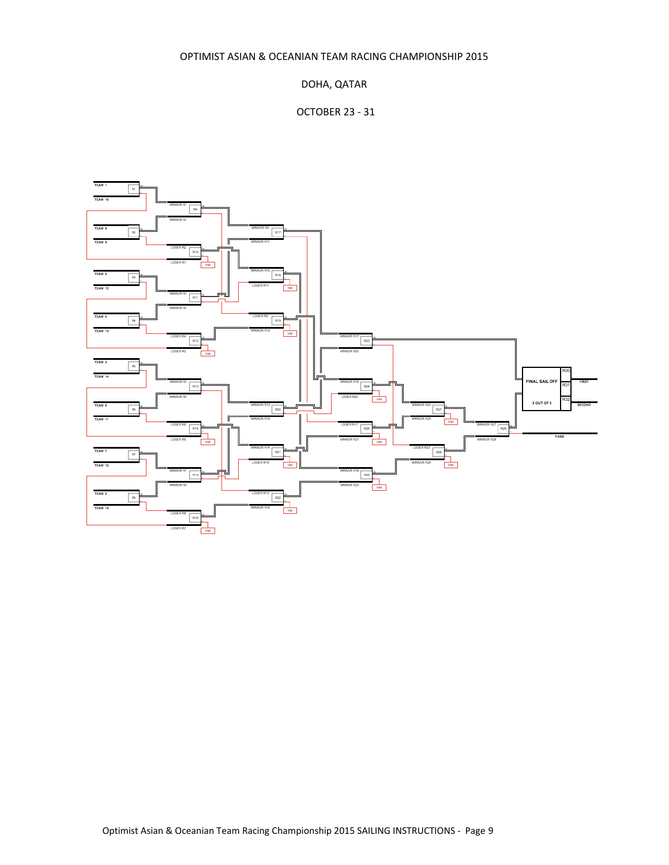OPTIMIST ASIAN & OCEANIAN TEAM RACING CHAMPIONSHIP 2015

## DOHA, QATAR

## OCTOBER 23 ‐ 31

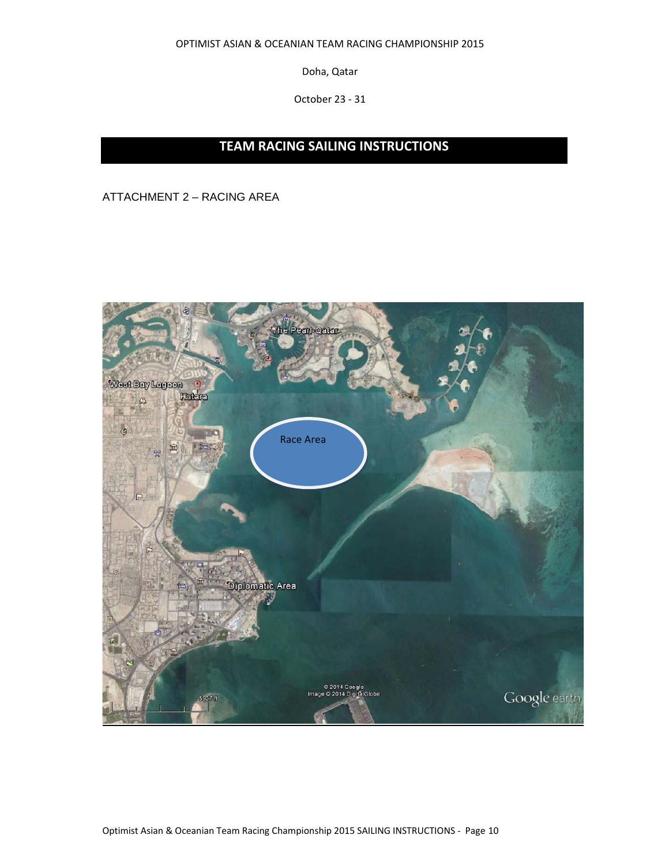OPTIMIST ASIAN & OCEANIAN TEAM RACING CHAMPIONSHIP 2015

Doha, Qatar

October 23 ‐ 31

# **TEAM RACING SAILING INSTRUCTIONS**

ATTACHMENT 2 – RACING AREA